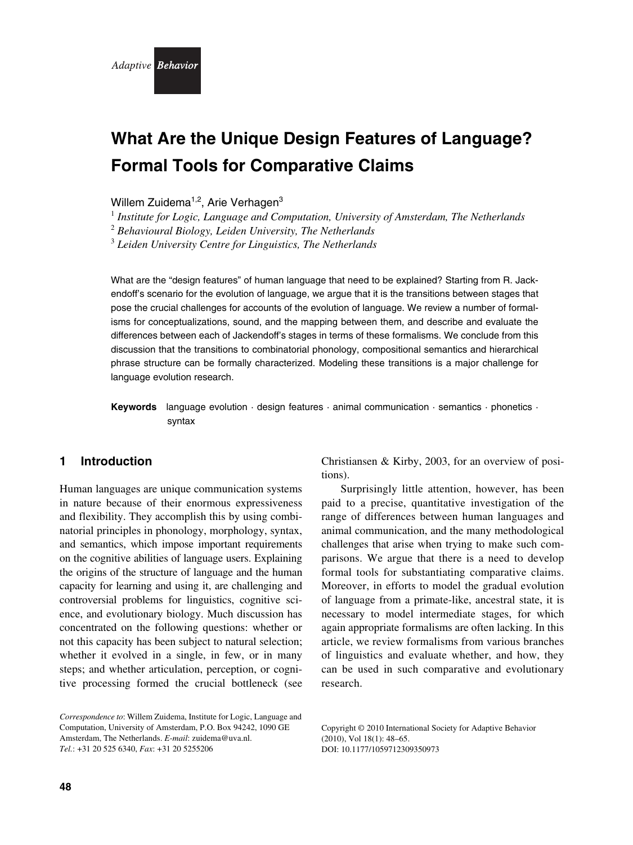

# **What Are the Unique Design Features of Language? Formal Tools for Comparative Claims**

## Willem Zuidema<sup>1,2</sup>. Arie Verhagen<sup>3</sup>

<sup>1</sup> Institute for Logic, Language and Computation, University of Amsterdam, The Netherlands

2  *Behavioural Biology, Leiden University, The Netherlands*

3  *Leiden University Centre for Linguistics, The Netherlands*

What are the "design features" of human language that need to be explained? Starting from R. Jackendoff's scenario for the evolution of language, we argue that it is the transitions between stages that pose the crucial challenges for accounts of the evolution of language. We review a number of formalisms for conceptualizations, sound, and the mapping between them, and describe and evaluate the differences between each of Jackendoff's stages in terms of these formalisms. We conclude from this discussion that the transitions to combinatorial phonology, compositional semantics and hierarchical phrase structure can be formally characterized. Modeling these transitions is a major challenge for language evolution research.

**Keywords** language evolution · design features · animal communication · semantics · phonetics · syntax

# **1 Introduction**

Human languages are unique communication systems in nature because of their enormous expressiveness and flexibility. They accomplish this by using combinatorial principles in phonology, morphology, syntax, and semantics, which impose important requirements on the cognitive abilities of language users. Explaining the origins of the structure of language and the human capacity for learning and using it, are challenging and controversial problems for linguistics, cognitive science, and evolutionary biology. Much discussion has concentrated on the following questions: whether or not this capacity has been subject to natural selection; whether it evolved in a single, in few, or in many steps; and whether articulation, perception, or cognitive processing formed the crucial bottleneck (see

*Correspondence to*: Willem Zuidema, Institute for Logic, Language and Computation, University of Amsterdam, P.O. Box 94242, 1090 GE Amsterdam, The Netherlands. *E-mail*: zuidema@uva.nl. *Tel.*: +31 20 525 6340, *Fax*: +31 20 5255206

Christiansen & Kirby, 2003, for an overview of positions).

Surprisingly little attention, however, has been paid to a precise, quantitative investigation of the range of differences between human languages and animal communication, and the many methodological challenges that arise when trying to make such comparisons. We argue that there is a need to develop formal tools for substantiating comparative claims. Moreover, in efforts to model the gradual evolution of language from a primate-like, ancestral state, it is necessary to model intermediate stages, for which again appropriate formalisms are often lacking. In this article, we review formalisms from various branches of linguistics and evaluate whether, and how, they can be used in such comparative and evolutionary research.

Copyright © 2010 International Society for Adaptive Behavior (2010), Vol 18(1): 48–65. DOI: 10.1177/1059712309350973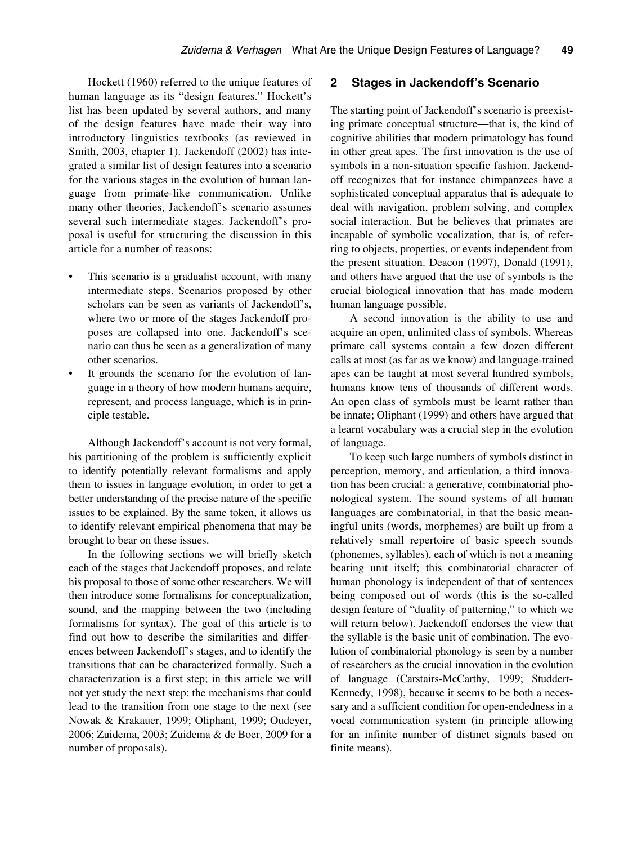Hockett (1960) referred to the unique features of human language as its "design features." Hockett's list has been updated by several authors, and many of the design features have made their way into introductory linguistics textbooks (as reviewed in Smith, 2003, chapter 1). Jackendoff (2002) has integrated a similar list of design features into a scenario for the various stages in the evolution of human language from primate-like communication. Unlike many other theories, Jackendoff's scenario assumes several such intermediate stages. Jackendoff's proposal is useful for structuring the discussion in this article for a number of reasons:

- This scenario is a gradualist account, with many intermediate steps. Scenarios proposed by other scholars can be seen as variants of Jackendoff's, where two or more of the stages Jackendoff proposes are collapsed into one. Jackendoff's scenario can thus be seen as a generalization of many other scenarios.
- It grounds the scenario for the evolution of language in a theory of how modern humans acquire, represent, and process language, which is in principle testable.

Although Jackendoff's account is not very formal, his partitioning of the problem is sufficiently explicit to identify potentially relevant formalisms and apply them to issues in language evolution, in order to get a better understanding of the precise nature of the specific issues to be explained. By the same token, it allows us to identify relevant empirical phenomena that may be brought to bear on these issues.

In the following sections we will briefly sketch each of the stages that Jackendoff proposes, and relate his proposal to those of some other researchers. We will then introduce some formalisms for conceptualization, sound, and the mapping between the two (including formalisms for syntax). The goal of this article is to find out how to describe the similarities and differences between Jackendoff's stages, and to identify the transitions that can be characterized formally. Such a characterization is a first step; in this article we will not yet study the next step: the mechanisms that could lead to the transition from one stage to the next (see Nowak & Krakauer, 1999; Oliphant, 1999; Oudeyer, 2006; Zuidema, 2003; Zuidema & de Boer, 2009 for a number of proposals).

#### **2 Stages in Jackendoff's Scenario**

The starting point of Jackendoff's scenario is preexisting primate conceptual structure—that is, the kind of cognitive abilities that modern primatology has found in other great apes. The first innovation is the use of symbols in a non-situation specific fashion. Jackendoff recognizes that for instance chimpanzees have a sophisticated conceptual apparatus that is adequate to deal with navigation, problem solving, and complex social interaction. But he believes that primates are incapable of symbolic vocalization, that is, of referring to objects, properties, or events independent from the present situation. Deacon (1997), Donald (1991), and others have argued that the use of symbols is the crucial biological innovation that has made modern human language possible.

A second innovation is the ability to use and acquire an open, unlimited class of symbols. Whereas primate call systems contain a few dozen different calls at most (as far as we know) and language-trained apes can be taught at most several hundred symbols, humans know tens of thousands of different words. An open class of symbols must be learnt rather than be innate; Oliphant (1999) and others have argued that a learnt vocabulary was a crucial step in the evolution of language.

To keep such large numbers of symbols distinct in perception, memory, and articulation, a third innovation has been crucial: a generative, combinatorial phonological system. The sound systems of all human languages are combinatorial, in that the basic meaningful units (words, morphemes) are built up from a relatively small repertoire of basic speech sounds (phonemes, syllables), each of which is not a meaning bearing unit itself; this combinatorial character of human phonology is independent of that of sentences being composed out of words (this is the so-called design feature of "duality of patterning," to which we will return below). Jackendoff endorses the view that the syllable is the basic unit of combination. The evolution of combinatorial phonology is seen by a number of researchers as the crucial innovation in the evolution of language (Carstairs-McCarthy, 1999; Studdert-Kennedy, 1998), because it seems to be both a necessary and a sufficient condition for open-endedness in a vocal communication system (in principle allowing for an infinite number of distinct signals based on finite means).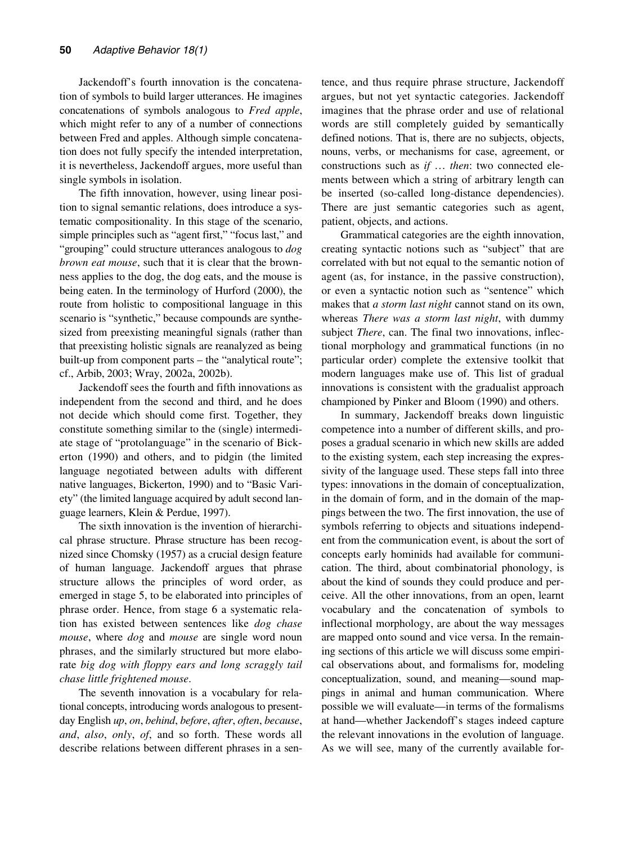Jackendoff's fourth innovation is the concatenation of symbols to build larger utterances. He imagines concatenations of symbols analogous to *Fred apple*, which might refer to any of a number of connections between Fred and apples. Although simple concatenation does not fully specify the intended interpretation, it is nevertheless, Jackendoff argues, more useful than single symbols in isolation.

The fifth innovation, however, using linear position to signal semantic relations, does introduce a systematic compositionality. In this stage of the scenario, simple principles such as "agent first," "focus last," and "grouping" could structure utterances analogous to *dog brown eat mouse*, such that it is clear that the brownness applies to the dog, the dog eats, and the mouse is being eaten. In the terminology of Hurford (2000), the route from holistic to compositional language in this scenario is "synthetic," because compounds are synthesized from preexisting meaningful signals (rather than that preexisting holistic signals are reanalyzed as being built-up from component parts – the "analytical route"; cf., Arbib, 2003; Wray, 2002a, 2002b).

Jackendoff sees the fourth and fifth innovations as independent from the second and third, and he does not decide which should come first. Together, they constitute something similar to the (single) intermediate stage of "protolanguage" in the scenario of Bickerton (1990) and others, and to pidgin (the limited language negotiated between adults with different native languages, Bickerton, 1990) and to "Basic Variety" (the limited language acquired by adult second language learners, Klein & Perdue, 1997).

The sixth innovation is the invention of hierarchical phrase structure. Phrase structure has been recognized since Chomsky (1957) as a crucial design feature of human language. Jackendoff argues that phrase structure allows the principles of word order, as emerged in stage 5, to be elaborated into principles of phrase order. Hence, from stage 6 a systematic relation has existed between sentences like *dog chase mouse*, where *dog* and *mouse* are single word noun phrases, and the similarly structured but more elaborate *big dog with floppy ears and long scraggly tail chase little frightened mouse*.

The seventh innovation is a vocabulary for relational concepts, introducing words analogous to presentday English *up*, *on*, *behind*, *before*, *after*, *often*, *because*, *and*, *also*, *only*, *of*, and so forth. These words all describe relations between different phrases in a sentence, and thus require phrase structure, Jackendoff argues, but not yet syntactic categories. Jackendoff imagines that the phrase order and use of relational words are still completely guided by semantically defined notions. That is, there are no subjects, objects, nouns, verbs, or mechanisms for case, agreement, or constructions such as *if* … *then*: two connected elements between which a string of arbitrary length can be inserted (so-called long-distance dependencies). There are just semantic categories such as agent, patient, objects, and actions.

Grammatical categories are the eighth innovation, creating syntactic notions such as "subject" that are correlated with but not equal to the semantic notion of agent (as, for instance, in the passive construction), or even a syntactic notion such as "sentence" which makes that *a storm last night* cannot stand on its own, whereas *There was a storm last night*, with dummy subject *There*, can. The final two innovations, inflectional morphology and grammatical functions (in no particular order) complete the extensive toolkit that modern languages make use of. This list of gradual innovations is consistent with the gradualist approach championed by Pinker and Bloom (1990) and others.

In summary, Jackendoff breaks down linguistic competence into a number of different skills, and proposes a gradual scenario in which new skills are added to the existing system, each step increasing the expressivity of the language used. These steps fall into three types: innovations in the domain of conceptualization, in the domain of form, and in the domain of the mappings between the two. The first innovation, the use of symbols referring to objects and situations independent from the communication event, is about the sort of concepts early hominids had available for communication. The third, about combinatorial phonology, is about the kind of sounds they could produce and perceive. All the other innovations, from an open, learnt vocabulary and the concatenation of symbols to inflectional morphology, are about the way messages are mapped onto sound and vice versa. In the remaining sections of this article we will discuss some empirical observations about, and formalisms for, modeling conceptualization, sound, and meaning—sound mappings in animal and human communication. Where possible we will evaluate—in terms of the formalisms at hand—whether Jackendoff's stages indeed capture the relevant innovations in the evolution of language. As we will see, many of the currently available for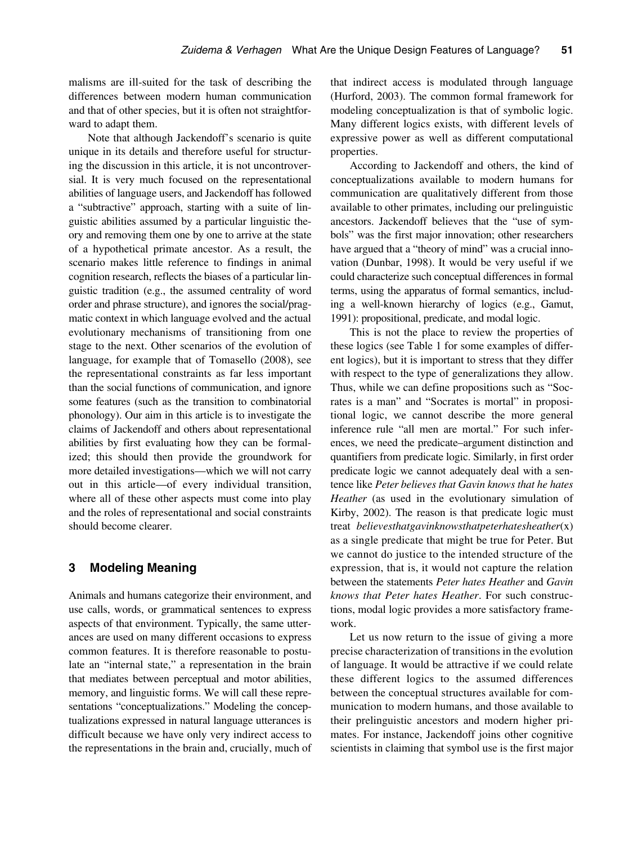malisms are ill-suited for the task of describing the differences between modern human communication and that of other species, but it is often not straightforward to adapt them.

Note that although Jackendoff's scenario is quite unique in its details and therefore useful for structuring the discussion in this article, it is not uncontroversial. It is very much focused on the representational abilities of language users, and Jackendoff has followed a "subtractive" approach, starting with a suite of linguistic abilities assumed by a particular linguistic theory and removing them one by one to arrive at the state of a hypothetical primate ancestor. As a result, the scenario makes little reference to findings in animal cognition research, reflects the biases of a particular linguistic tradition (e.g., the assumed centrality of word order and phrase structure), and ignores the social/pragmatic context in which language evolved and the actual evolutionary mechanisms of transitioning from one stage to the next. Other scenarios of the evolution of language, for example that of Tomasello (2008), see the representational constraints as far less important than the social functions of communication, and ignore some features (such as the transition to combinatorial phonology). Our aim in this article is to investigate the claims of Jackendoff and others about representational abilities by first evaluating how they can be formalized; this should then provide the groundwork for more detailed investigations—which we will not carry out in this article—of every individual transition, where all of these other aspects must come into play and the roles of representational and social constraints should become clearer.

# **3 Modeling Meaning**

Animals and humans categorize their environment, and use calls, words, or grammatical sentences to express aspects of that environment. Typically, the same utterances are used on many different occasions to express common features. It is therefore reasonable to postulate an "internal state," a representation in the brain that mediates between perceptual and motor abilities, memory, and linguistic forms. We will call these representations "conceptualizations." Modeling the conceptualizations expressed in natural language utterances is difficult because we have only very indirect access to the representations in the brain and, crucially, much of that indirect access is modulated through language (Hurford, 2003). The common formal framework for modeling conceptualization is that of symbolic logic. Many different logics exists, with different levels of expressive power as well as different computational properties.

According to Jackendoff and others, the kind of conceptualizations available to modern humans for communication are qualitatively different from those available to other primates, including our prelinguistic ancestors. Jackendoff believes that the "use of symbols" was the first major innovation; other researchers have argued that a "theory of mind" was a crucial innovation (Dunbar, 1998). It would be very useful if we could characterize such conceptual differences in formal terms, using the apparatus of formal semantics, including a well-known hierarchy of logics (e.g., Gamut, 1991): propositional, predicate, and modal logic.

This is not the place to review the properties of these logics (see Table 1 for some examples of different logics), but it is important to stress that they differ with respect to the type of generalizations they allow. Thus, while we can define propositions such as "Socrates is a man" and "Socrates is mortal" in propositional logic, we cannot describe the more general inference rule "all men are mortal." For such inferences, we need the predicate–argument distinction and quantifiers from predicate logic. Similarly, in first order predicate logic we cannot adequately deal with a sentence like *Peter believes that Gavin knows that he hates Heather* (as used in the evolutionary simulation of Kirby, 2002). The reason is that predicate logic must treat *believesthatgavinknowsthatpeterhatesheather*(x) as a single predicate that might be true for Peter. But we cannot do justice to the intended structure of the expression, that is, it would not capture the relation between the statements *Peter hates Heather* and *Gavin knows that Peter hates Heather*. For such constructions, modal logic provides a more satisfactory framework.

Let us now return to the issue of giving a more precise characterization of transitions in the evolution of language. It would be attractive if we could relate these different logics to the assumed differences between the conceptual structures available for communication to modern humans, and those available to their prelinguistic ancestors and modern higher primates. For instance, Jackendoff joins other cognitive scientists in claiming that symbol use is the first major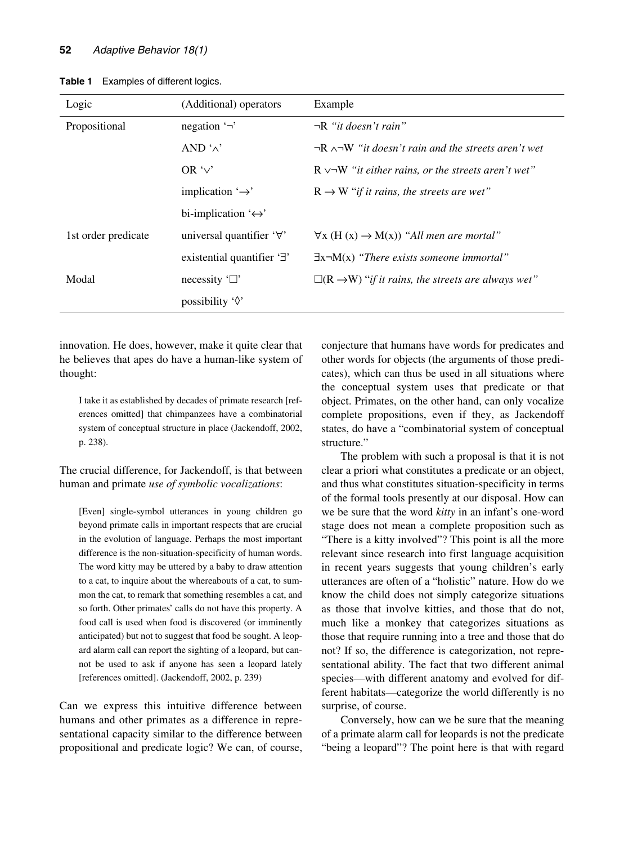#### **Table 1** Examples of different logics.

| Logic               | (Additional) operators           | Example                                                             |  |  |  |  |
|---------------------|----------------------------------|---------------------------------------------------------------------|--|--|--|--|
| Propositional       | negation $\rightarrow$           | $\neg R$ "it doesn't rain"                                          |  |  |  |  |
|                     | AND $'\wedge$                    | $\neg R \wedge \neg W$ "it doesn't rain and the streets aren't wet  |  |  |  |  |
|                     | OR $\vee$                        | $R \vee \neg W$ "it either rains, or the streets aren't wet"        |  |  |  |  |
|                     | implication $\rightarrow$        | $R \rightarrow W$ "if it rains, the streets are wet"                |  |  |  |  |
|                     | bi-implication $\leftrightarrow$ |                                                                     |  |  |  |  |
| 1st order predicate | universal quantifier $\forall$ . | $\forall$ x (H (x) $\rightarrow$ M(x)) "All men are mortal"         |  |  |  |  |
|                     | existential quantifier $\exists$ | $\exists x \neg M(x)$ "There exists someone immortal"               |  |  |  |  |
| Modal               | necessity $\Box$                 | $\square(R\rightarrow W)$ "if it rains, the streets are always wet" |  |  |  |  |
|                     | possibility $\Diamond$           |                                                                     |  |  |  |  |

innovation. He does, however, make it quite clear that he believes that apes do have a human-like system of thought:

I take it as established by decades of primate research [references omitted] that chimpanzees have a combinatorial system of conceptual structure in place (Jackendoff, 2002, p. 238).

The crucial difference, for Jackendoff, is that between human and primate *use of symbolic vocalizations*:

[Even] single-symbol utterances in young children go beyond primate calls in important respects that are crucial in the evolution of language. Perhaps the most important difference is the non-situation-specificity of human words. The word kitty may be uttered by a baby to draw attention to a cat, to inquire about the whereabouts of a cat, to summon the cat, to remark that something resembles a cat, and so forth. Other primates' calls do not have this property. A food call is used when food is discovered (or imminently anticipated) but not to suggest that food be sought. A leopard alarm call can report the sighting of a leopard, but cannot be used to ask if anyone has seen a leopard lately [references omitted]. (Jackendoff, 2002, p. 239)

Can we express this intuitive difference between humans and other primates as a difference in representational capacity similar to the difference between propositional and predicate logic? We can, of course, conjecture that humans have words for predicates and other words for objects (the arguments of those predicates), which can thus be used in all situations where the conceptual system uses that predicate or that object. Primates, on the other hand, can only vocalize complete propositions, even if they, as Jackendoff states, do have a "combinatorial system of conceptual structure."

The problem with such a proposal is that it is not clear a priori what constitutes a predicate or an object, and thus what constitutes situation-specificity in terms of the formal tools presently at our disposal. How can we be sure that the word *kitty* in an infant's one-word stage does not mean a complete proposition such as "There is a kitty involved"? This point is all the more relevant since research into first language acquisition in recent years suggests that young children's early utterances are often of a "holistic" nature. How do we know the child does not simply categorize situations as those that involve kitties, and those that do not, much like a monkey that categorizes situations as those that require running into a tree and those that do not? If so, the difference is categorization, not representational ability. The fact that two different animal species—with different anatomy and evolved for different habitats—categorize the world differently is no surprise, of course.

Conversely, how can we be sure that the meaning of a primate alarm call for leopards is not the predicate "being a leopard"? The point here is that with regard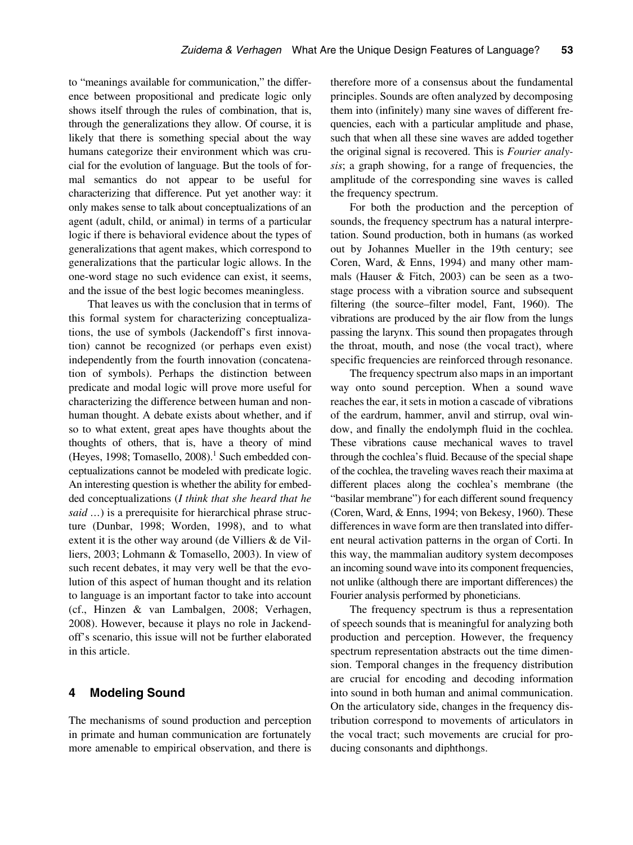to "meanings available for communication," the difference between propositional and predicate logic only shows itself through the rules of combination, that is, through the generalizations they allow. Of course, it is likely that there is something special about the way humans categorize their environment which was crucial for the evolution of language. But the tools of formal semantics do not appear to be useful for characterizing that difference. Put yet another way: it only makes sense to talk about conceptualizations of an agent (adult, child, or animal) in terms of a particular logic if there is behavioral evidence about the types of generalizations that agent makes, which correspond to generalizations that the particular logic allows. In the one-word stage no such evidence can exist, it seems, and the issue of the best logic becomes meaningless.

That leaves us with the conclusion that in terms of this formal system for characterizing conceptualizations, the use of symbols (Jackendoff's first innovation) cannot be recognized (or perhaps even exist) independently from the fourth innovation (concatenation of symbols). Perhaps the distinction between predicate and modal logic will prove more useful for characterizing the difference between human and nonhuman thought. A debate exists about whether, and if so to what extent, great apes have thoughts about the thoughts of others, that is, have a theory of mind (Heyes, 1998; Tomasello, 2008).<sup>1</sup> Such embedded conceptualizations cannot be modeled with predicate logic. An interesting question is whether the ability for embedded conceptualizations (*I think that she heard that he said …*) is a prerequisite for hierarchical phrase structure (Dunbar, 1998; Worden, 1998), and to what extent it is the other way around (de Villiers & de Villiers, 2003; Lohmann & Tomasello, 2003). In view of such recent debates, it may very well be that the evolution of this aspect of human thought and its relation to language is an important factor to take into account (cf., Hinzen & van Lambalgen, 2008; Verhagen, 2008). However, because it plays no role in Jackendoff's scenario, this issue will not be further elaborated in this article.

#### **4 Modeling Sound**

The mechanisms of sound production and perception in primate and human communication are fortunately more amenable to empirical observation, and there is therefore more of a consensus about the fundamental principles. Sounds are often analyzed by decomposing them into (infinitely) many sine waves of different frequencies, each with a particular amplitude and phase, such that when all these sine waves are added together the original signal is recovered. This is *Fourier analysis*; a graph showing, for a range of frequencies, the amplitude of the corresponding sine waves is called the frequency spectrum.

For both the production and the perception of sounds, the frequency spectrum has a natural interpretation. Sound production, both in humans (as worked out by Johannes Mueller in the 19th century; see Coren, Ward, & Enns, 1994) and many other mammals (Hauser & Fitch, 2003) can be seen as a twostage process with a vibration source and subsequent filtering (the source–filter model, Fant, 1960). The vibrations are produced by the air flow from the lungs passing the larynx. This sound then propagates through the throat, mouth, and nose (the vocal tract), where specific frequencies are reinforced through resonance.

The frequency spectrum also maps in an important way onto sound perception. When a sound wave reaches the ear, it sets in motion a cascade of vibrations of the eardrum, hammer, anvil and stirrup, oval window, and finally the endolymph fluid in the cochlea. These vibrations cause mechanical waves to travel through the cochlea's fluid. Because of the special shape of the cochlea, the traveling waves reach their maxima at different places along the cochlea's membrane (the "basilar membrane") for each different sound frequency (Coren, Ward, & Enns, 1994; von Bekesy, 1960). These differences in wave form are then translated into different neural activation patterns in the organ of Corti. In this way, the mammalian auditory system decomposes an incoming sound wave into its component frequencies, not unlike (although there are important differences) the Fourier analysis performed by phoneticians.

The frequency spectrum is thus a representation of speech sounds that is meaningful for analyzing both production and perception. However, the frequency spectrum representation abstracts out the time dimension. Temporal changes in the frequency distribution are crucial for encoding and decoding information into sound in both human and animal communication. On the articulatory side, changes in the frequency distribution correspond to movements of articulators in the vocal tract; such movements are crucial for producing consonants and diphthongs.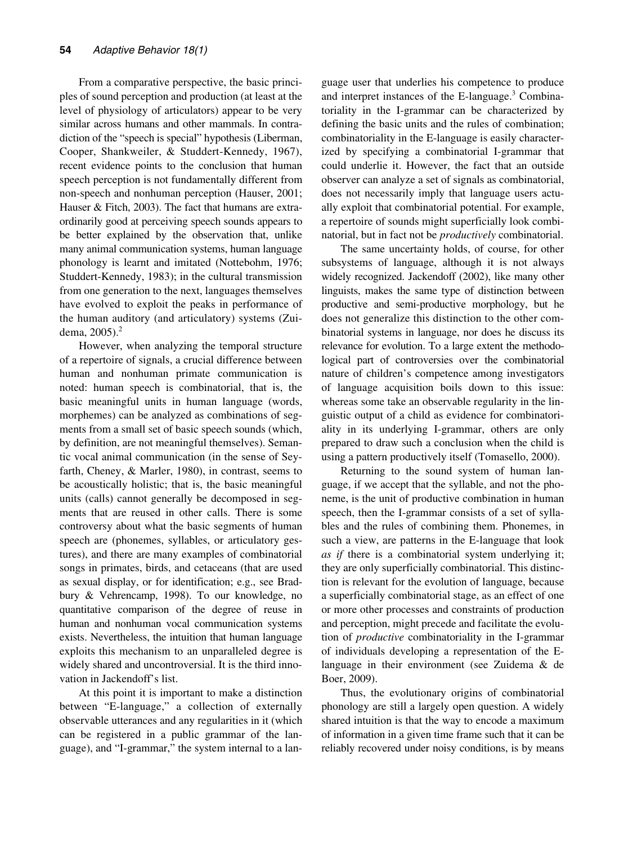From a comparative perspective, the basic principles of sound perception and production (at least at the level of physiology of articulators) appear to be very similar across humans and other mammals. In contradiction of the "speech is special" hypothesis (Liberman, Cooper, Shankweiler, & Studdert-Kennedy, 1967), recent evidence points to the conclusion that human speech perception is not fundamentally different from non-speech and nonhuman perception (Hauser, 2001; Hauser & Fitch, 2003). The fact that humans are extraordinarily good at perceiving speech sounds appears to be better explained by the observation that, unlike many animal communication systems, human language phonology is learnt and imitated (Nottebohm, 1976; Studdert-Kennedy, 1983); in the cultural transmission from one generation to the next, languages themselves have evolved to exploit the peaks in performance of the human auditory (and articulatory) systems (Zuidema,  $2005$ ).<sup>2</sup>

However, when analyzing the temporal structure of a repertoire of signals, a crucial difference between human and nonhuman primate communication is noted: human speech is combinatorial, that is, the basic meaningful units in human language (words, morphemes) can be analyzed as combinations of segments from a small set of basic speech sounds (which, by definition, are not meaningful themselves). Semantic vocal animal communication (in the sense of Seyfarth, Cheney, & Marler, 1980), in contrast, seems to be acoustically holistic; that is, the basic meaningful units (calls) cannot generally be decomposed in segments that are reused in other calls. There is some controversy about what the basic segments of human speech are (phonemes, syllables, or articulatory gestures), and there are many examples of combinatorial songs in primates, birds, and cetaceans (that are used as sexual display, or for identification; e.g., see Bradbury & Vehrencamp, 1998). To our knowledge, no quantitative comparison of the degree of reuse in human and nonhuman vocal communication systems exists. Nevertheless, the intuition that human language exploits this mechanism to an unparalleled degree is widely shared and uncontroversial. It is the third innovation in Jackendoff's list.

At this point it is important to make a distinction between "E-language," a collection of externally observable utterances and any regularities in it (which can be registered in a public grammar of the language), and "I-grammar," the system internal to a language user that underlies his competence to produce and interpret instances of the E-language.<sup>3</sup> Combinatoriality in the I-grammar can be characterized by defining the basic units and the rules of combination; combinatoriality in the E-language is easily characterized by specifying a combinatorial I-grammar that could underlie it. However, the fact that an outside observer can analyze a set of signals as combinatorial, does not necessarily imply that language users actually exploit that combinatorial potential. For example, a repertoire of sounds might superficially look combinatorial, but in fact not be *productively* combinatorial.

The same uncertainty holds, of course, for other subsystems of language, although it is not always widely recognized. Jackendoff (2002), like many other linguists, makes the same type of distinction between productive and semi-productive morphology, but he does not generalize this distinction to the other combinatorial systems in language, nor does he discuss its relevance for evolution. To a large extent the methodological part of controversies over the combinatorial nature of children's competence among investigators of language acquisition boils down to this issue: whereas some take an observable regularity in the linguistic output of a child as evidence for combinatoriality in its underlying I-grammar, others are only prepared to draw such a conclusion when the child is using a pattern productively itself (Tomasello, 2000).

Returning to the sound system of human language, if we accept that the syllable, and not the phoneme, is the unit of productive combination in human speech, then the I-grammar consists of a set of syllables and the rules of combining them. Phonemes, in such a view, are patterns in the E-language that look *as if* there is a combinatorial system underlying it; they are only superficially combinatorial. This distinction is relevant for the evolution of language, because a superficially combinatorial stage, as an effect of one or more other processes and constraints of production and perception, might precede and facilitate the evolution of *productive* combinatoriality in the I-grammar of individuals developing a representation of the Elanguage in their environment (see Zuidema & de Boer, 2009).

Thus, the evolutionary origins of combinatorial phonology are still a largely open question. A widely shared intuition is that the way to encode a maximum of information in a given time frame such that it can be reliably recovered under noisy conditions, is by means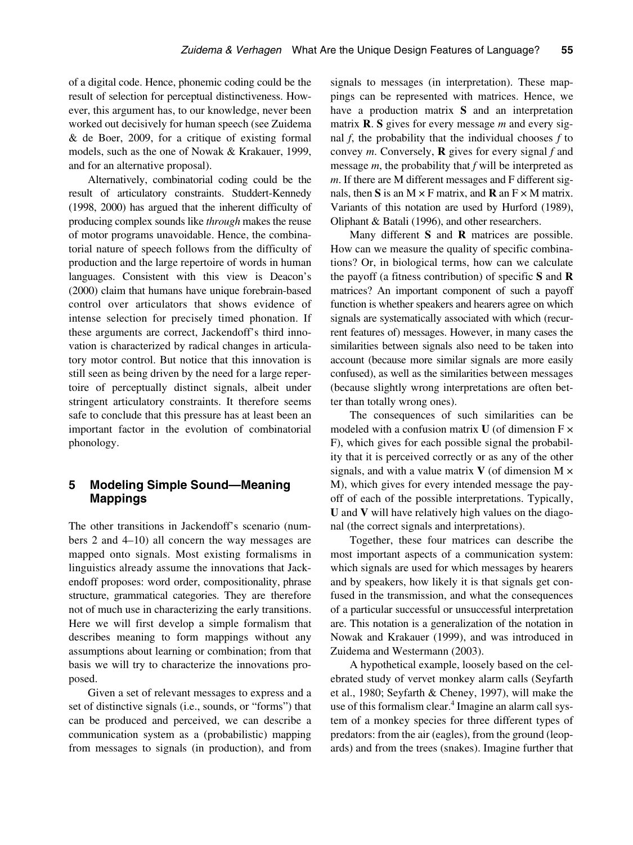of a digital code. Hence, phonemic coding could be the result of selection for perceptual distinctiveness. However, this argument has, to our knowledge, never been worked out decisively for human speech (see Zuidema & de Boer, 2009, for a critique of existing formal models, such as the one of Nowak & Krakauer, 1999, and for an alternative proposal).

Alternatively, combinatorial coding could be the result of articulatory constraints. Studdert-Kennedy (1998, 2000) has argued that the inherent difficulty of producing complex sounds like *through* makes the reuse of motor programs unavoidable. Hence, the combinatorial nature of speech follows from the difficulty of production and the large repertoire of words in human languages. Consistent with this view is Deacon's (2000) claim that humans have unique forebrain-based control over articulators that shows evidence of intense selection for precisely timed phonation. If these arguments are correct, Jackendoff's third innovation is characterized by radical changes in articulatory motor control. But notice that this innovation is still seen as being driven by the need for a large repertoire of perceptually distinct signals, albeit under stringent articulatory constraints. It therefore seems safe to conclude that this pressure has at least been an important factor in the evolution of combinatorial phonology.

# **5 Modeling Simple Sound—Meaning Mappings**

The other transitions in Jackendoff's scenario (numbers 2 and 4–10) all concern the way messages are mapped onto signals. Most existing formalisms in linguistics already assume the innovations that Jackendoff proposes: word order, compositionality, phrase structure, grammatical categories. They are therefore not of much use in characterizing the early transitions. Here we will first develop a simple formalism that describes meaning to form mappings without any assumptions about learning or combination; from that basis we will try to characterize the innovations proposed.

Given a set of relevant messages to express and a set of distinctive signals (i.e., sounds, or "forms") that can be produced and perceived, we can describe a communication system as a (probabilistic) mapping from messages to signals (in production), and from signals to messages (in interpretation). These mappings can be represented with matrices. Hence, we have a production matrix **S** and an interpretation matrix **R**. **S** gives for every message *m* and every signal *f*, the probability that the individual chooses *f* to convey *m*. Conversely, **R** gives for every signal *f* and message *m*, the probability that *f* will be interpreted as *m*. If there are M different messages and F different signals, then **S** is an  $M \times F$  matrix, and **R** an  $F \times M$  matrix. Variants of this notation are used by Hurford (1989), Oliphant & Batali (1996), and other researchers.

Many different **S** and **R** matrices are possible. How can we measure the quality of specific combinations? Or, in biological terms, how can we calculate the payoff (a fitness contribution) of specific **S** and **R** matrices? An important component of such a payoff function is whether speakers and hearers agree on which signals are systematically associated with which (recurrent features of) messages. However, in many cases the similarities between signals also need to be taken into account (because more similar signals are more easily confused), as well as the similarities between messages (because slightly wrong interpretations are often better than totally wrong ones).

The consequences of such similarities can be modeled with a confusion matrix  $U$  (of dimension  $F \times$ F), which gives for each possible signal the probability that it is perceived correctly or as any of the other signals, and with a value matrix  $V$  (of dimension  $M \times$ M), which gives for every intended message the payoff of each of the possible interpretations. Typically, **U** and **V** will have relatively high values on the diagonal (the correct signals and interpretations).

Together, these four matrices can describe the most important aspects of a communication system: which signals are used for which messages by hearers and by speakers, how likely it is that signals get confused in the transmission, and what the consequences of a particular successful or unsuccessful interpretation are. This notation is a generalization of the notation in Nowak and Krakauer (1999), and was introduced in Zuidema and Westermann (2003).

A hypothetical example, loosely based on the celebrated study of vervet monkey alarm calls (Seyfarth et al., 1980; Seyfarth & Cheney, 1997), will make the use of this formalism clear.<sup>4</sup> Imagine an alarm call system of a monkey species for three different types of predators: from the air (eagles), from the ground (leopards) and from the trees (snakes). Imagine further that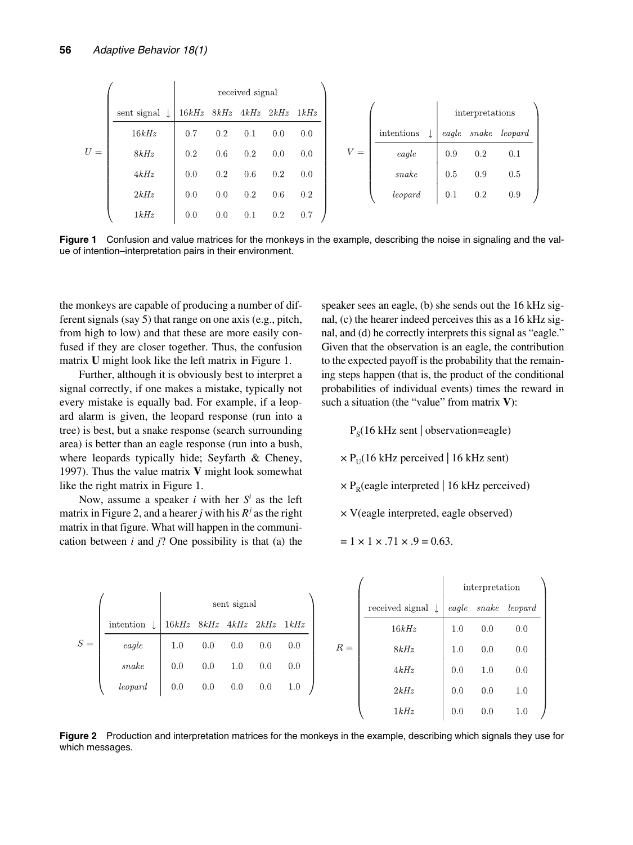|       | received signal          |               |     |                      |     |      |       |            |       |                 |         |
|-------|--------------------------|---------------|-----|----------------------|-----|------|-------|------------|-------|-----------------|---------|
|       | sent signal $\downarrow$ | 16kHz         |     | $8kHz$ $4kHz$ $2kHz$ |     | 1kHz |       |            |       | interpretations |         |
|       | 16kHz                    | 0.7           | 0.2 | 0.1                  | 0.0 | 0.0  |       | intentions | eagle | snake           | leopard |
| $U =$ | 8kHz                     | 0.2           | 0.6 | 0.2                  | 0.0 | 0.0  | $V =$ | eagle      | 0.9   | 0.2             | 0.1     |
|       | 4kHz                     | $0.0^{\circ}$ | 0.2 | 0.6                  | 0.2 | 0.0  |       | snake      | 0.5   | 0.9             | 0.5     |
|       | 2kHz                     | 0.0           | 0.0 | 0.2                  | 0.6 | 0.2  |       | leopard    | 0.1   | 0.2             | 0.9     |
|       | 1kHz                     | 0.0           | 0.0 | 0.1                  | 0.2 | 0.7  |       |            |       |                 |         |

**Figure 1** Confusion and value matrices for the monkeys in the example, describing the noise in signaling and the value of intention–interpretation pairs in their environment.

the monkeys are capable of producing a number of different signals (say 5) that range on one axis (e.g., pitch, from high to low) and that these are more easily confused if they are closer together. Thus, the confusion matrix **U** might look like the left matrix in Figure 1.

Further, although it is obviously best to interpret a signal correctly, if one makes a mistake, typically not every mistake is equally bad. For example, if a leopard alarm is given, the leopard response (run into a tree) is best, but a snake response (search surrounding area) is better than an eagle response (run into a bush, where leopards typically hide; Seyfarth & Cheney, 1997). Thus the value matrix **V** might look somewhat like the right matrix in Figure 1.

Now, assume a speaker *i* with her  $S^i$  as the left matrix in Figure 2, and a hearer *j* with his *R<sup>j</sup>* as the right matrix in that figure. What will happen in the communication between *i* and *j*? One possibility is that (a) the speaker sees an eagle, (b) she sends out the 16 kHz signal, (c) the hearer indeed perceives this as a 16 kHz signal, and (d) he correctly interprets this signal as "eagle." Given that the observation is an eagle, the contribution to the expected payoff is the probability that the remaining steps happen (that is, the product of the conditional probabilities of individual events) times the reward in such a situation (the "value" from matrix **V**):

 $P_s(16 \text{ kHz sent} | observation =$ eagle)

 $\times$  P<sub>U</sub>(16 kHz perceived | 16 kHz sent)

 $\times P_{R}$ (eagle interpreted | 16 kHz perceived)

 $\mathbf{r}$ 

× V(eagle interpreted, eagle observed)

 $= 1 \times 1 \times .71 \times .9 = 0.63$ .

|       |                        |                |     |     |               |                 |       |       |         | interpretation |     |
|-------|------------------------|----------------|-----|-----|---------------|-----------------|-------|-------|---------|----------------|-----|
|       | sent signal            |                |     |     |               | received signal | eagle | snake | leopard |                |     |
|       | intention $\downarrow$ | $16kHz$ $8kHz$ |     |     | $4kHz$ $2kHz$ | 1kHz            |       | 16kHz | 1.0     | 0.0            | 0.0 |
| $S =$ | eagle                  | 1.0            | 0.0 | 0.0 | 0.0           | 0.0             | $R =$ | 8kHz  | $1.0\,$ | 0.0            | 0.0 |
|       | subset                 | 0.0            | 0.0 | 1.0 | 0.0           | 0.0             |       | 4kHz  | 0.0     | 1.0            | 0.0 |
|       | leopard                | 0.0            | 0.0 | 0.0 | 0.0           | 1.0             |       | 2kHz  | 0.0     | 0.0            | 1.0 |
|       |                        |                |     |     |               |                 |       | 1kHz  | 0.0     | 0.0            | 1.0 |

**Figure 2** Production and interpretation matrices for the monkeys in the example, describing which signals they use for which messages.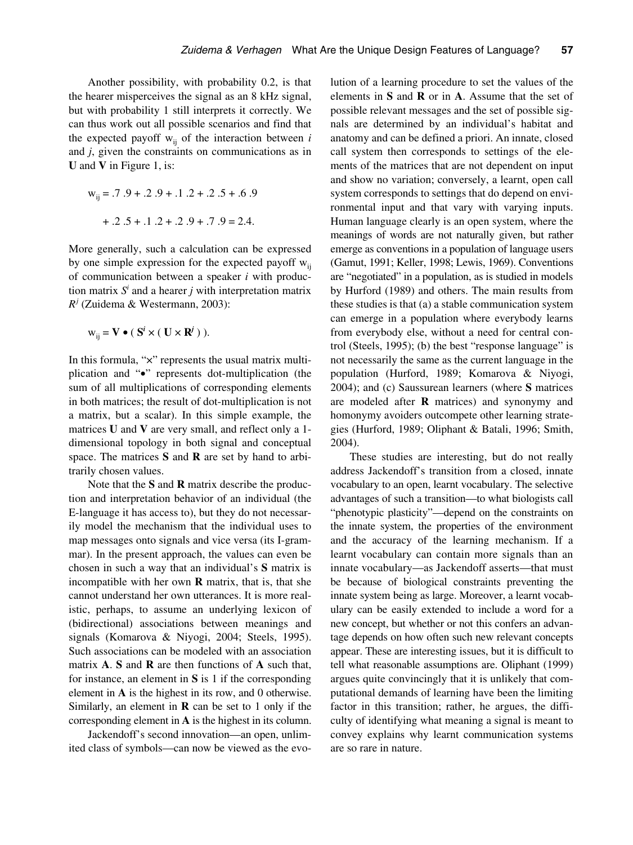Another possibility, with probability 0.2, is that the hearer misperceives the signal as an 8 kHz signal, but with probability 1 still interprets it correctly. We can thus work out all possible scenarios and find that the expected payoff  $w_{ii}$  of the interaction between *i* and *j*, given the constraints on communications as in **U** and **V** in Figure 1, is:

$$
w_{ij} = .7.9 + .2.9 + .1.2 + .2.5 + .6.9
$$
  
+ .2.5 + .1.2 + .2.9 + .7.9 = 2.4.

More generally, such a calculation can be expressed by one simple expression for the expected payoff  $w_{ii}$ of communication between a speaker *i* with production matrix  $S<sup>i</sup>$  and a hearer *j* with interpretation matrix *Rj* (Zuidema & Westermann, 2003):

$$
w_{ij} = \mathbf{V} \bullet (\mathbf{S}^i \times (\mathbf{U} \times \mathbf{R}^j)).
$$

In this formula, "×" represents the usual matrix multiplication and "•" represents dot-multiplication (the sum of all multiplications of corresponding elements in both matrices; the result of dot-multiplication is not a matrix, but a scalar). In this simple example, the matrices **U** and **V** are very small, and reflect only a 1 dimensional topology in both signal and conceptual space. The matrices **S** and **R** are set by hand to arbitrarily chosen values.

Note that the **S** and **R** matrix describe the production and interpretation behavior of an individual (the E-language it has access to), but they do not necessarily model the mechanism that the individual uses to map messages onto signals and vice versa (its I-grammar). In the present approach, the values can even be chosen in such a way that an individual's **S** matrix is incompatible with her own **R** matrix, that is, that she cannot understand her own utterances. It is more realistic, perhaps, to assume an underlying lexicon of (bidirectional) associations between meanings and signals (Komarova & Niyogi, 2004; Steels, 1995). Such associations can be modeled with an association matrix **A**. **S** and **R** are then functions of **A** such that, for instance, an element in **S** is 1 if the corresponding element in **A** is the highest in its row, and 0 otherwise. Similarly, an element in **R** can be set to 1 only if the corresponding element in **A** is the highest in its column.

Jackendoff's second innovation—an open, unlimited class of symbols—can now be viewed as the evolution of a learning procedure to set the values of the elements in **S** and **R** or in **A**. Assume that the set of possible relevant messages and the set of possible signals are determined by an individual's habitat and anatomy and can be defined a priori. An innate, closed call system then corresponds to settings of the elements of the matrices that are not dependent on input and show no variation; conversely, a learnt, open call system corresponds to settings that do depend on environmental input and that vary with varying inputs. Human language clearly is an open system, where the meanings of words are not naturally given, but rather emerge as conventions in a population of language users (Gamut, 1991; Keller, 1998; Lewis, 1969). Conventions are "negotiated" in a population, as is studied in models by Hurford (1989) and others. The main results from these studies is that (a) a stable communication system can emerge in a population where everybody learns from everybody else, without a need for central control (Steels, 1995); (b) the best "response language" is not necessarily the same as the current language in the population (Hurford, 1989; Komarova & Niyogi, 2004); and (c) Saussurean learners (where **S** matrices are modeled after **R** matrices) and synonymy and homonymy avoiders outcompete other learning strategies (Hurford, 1989; Oliphant & Batali, 1996; Smith, 2004).

These studies are interesting, but do not really address Jackendoff's transition from a closed, innate vocabulary to an open, learnt vocabulary. The selective advantages of such a transition—to what biologists call "phenotypic plasticity"—depend on the constraints on the innate system, the properties of the environment and the accuracy of the learning mechanism. If a learnt vocabulary can contain more signals than an innate vocabulary—as Jackendoff asserts—that must be because of biological constraints preventing the innate system being as large. Moreover, a learnt vocabulary can be easily extended to include a word for a new concept, but whether or not this confers an advantage depends on how often such new relevant concepts appear. These are interesting issues, but it is difficult to tell what reasonable assumptions are. Oliphant (1999) argues quite convincingly that it is unlikely that computational demands of learning have been the limiting factor in this transition; rather, he argues, the difficulty of identifying what meaning a signal is meant to convey explains why learnt communication systems are so rare in nature.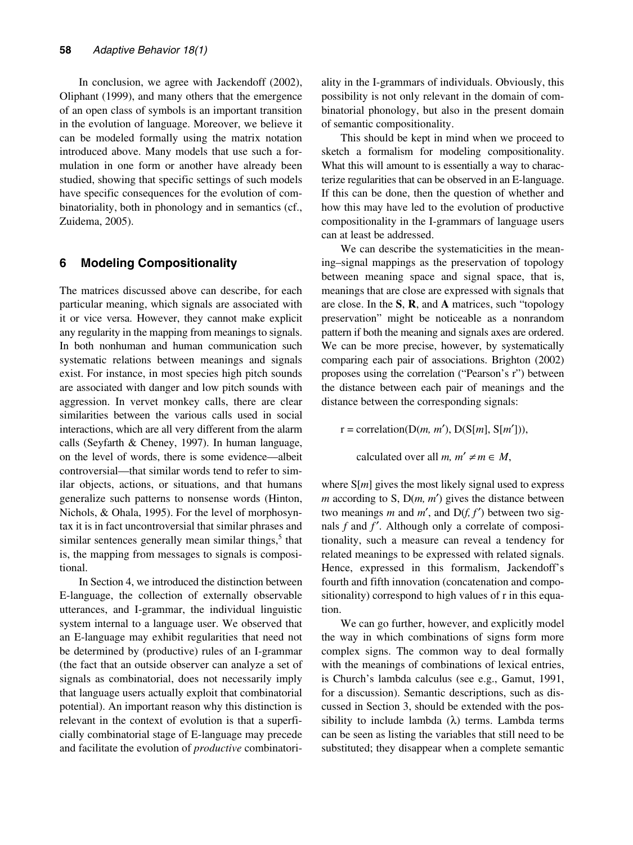In conclusion, we agree with Jackendoff (2002), Oliphant (1999), and many others that the emergence of an open class of symbols is an important transition in the evolution of language. Moreover, we believe it can be modeled formally using the matrix notation introduced above. Many models that use such a formulation in one form or another have already been studied, showing that specific settings of such models have specific consequences for the evolution of combinatoriality, both in phonology and in semantics (cf., Zuidema, 2005).

# **6 Modeling Compositionality**

The matrices discussed above can describe, for each particular meaning, which signals are associated with it or vice versa. However, they cannot make explicit any regularity in the mapping from meanings to signals. In both nonhuman and human communication such systematic relations between meanings and signals exist. For instance, in most species high pitch sounds are associated with danger and low pitch sounds with aggression. In vervet monkey calls, there are clear similarities between the various calls used in social interactions, which are all very different from the alarm calls (Seyfarth & Cheney, 1997). In human language, on the level of words, there is some evidence—albeit controversial—that similar words tend to refer to similar objects, actions, or situations, and that humans generalize such patterns to nonsense words (Hinton, Nichols, & Ohala, 1995). For the level of morphosyntax it is in fact uncontroversial that similar phrases and similar sentences generally mean similar things,<sup>5</sup> that is, the mapping from messages to signals is compositional.

In Section 4, we introduced the distinction between E-language, the collection of externally observable utterances, and I-grammar, the individual linguistic system internal to a language user. We observed that an E-language may exhibit regularities that need not be determined by (productive) rules of an I-grammar (the fact that an outside observer can analyze a set of signals as combinatorial, does not necessarily imply that language users actually exploit that combinatorial potential). An important reason why this distinction is relevant in the context of evolution is that a superficially combinatorial stage of E-language may precede and facilitate the evolution of *productive* combinatoriality in the I-grammars of individuals. Obviously, this possibility is not only relevant in the domain of combinatorial phonology, but also in the present domain of semantic compositionality.

This should be kept in mind when we proceed to sketch a formalism for modeling compositionality. What this will amount to is essentially a way to characterize regularities that can be observed in an E-language. If this can be done, then the question of whether and how this may have led to the evolution of productive compositionality in the I-grammars of language users can at least be addressed.

We can describe the systematicities in the meaning–signal mappings as the preservation of topology between meaning space and signal space, that is, meanings that are close are expressed with signals that are close. In the **S**, **R**, and **A** matrices, such "topology preservation" might be noticeable as a nonrandom pattern if both the meaning and signals axes are ordered. We can be more precise, however, by systematically comparing each pair of associations. Brighton (2002) proposes using the correlation ("Pearson's r") between the distance between each pair of meanings and the distance between the corresponding signals:

 $r =$  correlation( $D(m, m')$ ,  $D(S[m], S[m'])$ ), calculated over all *m*,  $m' \neq m \in M$ ,

where  $S[m]$  gives the most likely signal used to express *m* according to S, D(*m, m*′) gives the distance between two meanings *m* and  $m'$ , and  $D(f, f')$  between two signals *f* and *f'*. Although only a correlate of compositionality, such a measure can reveal a tendency for related meanings to be expressed with related signals. Hence, expressed in this formalism, Jackendoff's fourth and fifth innovation (concatenation and compositionality) correspond to high values of r in this equation.

We can go further, however, and explicitly model the way in which combinations of signs form more complex signs. The common way to deal formally with the meanings of combinations of lexical entries, is Church's lambda calculus (see e.g., Gamut, 1991, for a discussion). Semantic descriptions, such as discussed in Section 3, should be extended with the possibility to include lambda  $(\lambda)$  terms. Lambda terms can be seen as listing the variables that still need to be substituted; they disappear when a complete semantic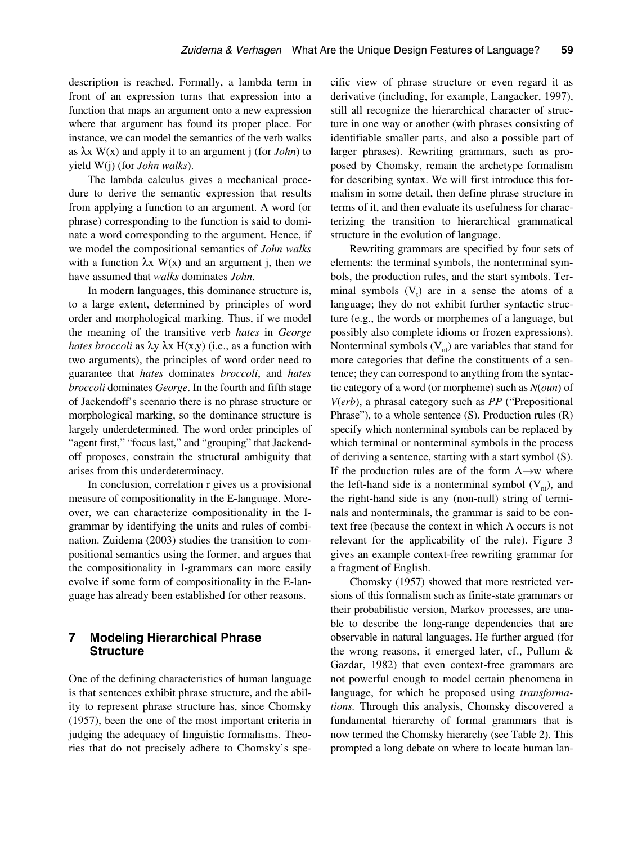description is reached. Formally, a lambda term in front of an expression turns that expression into a function that maps an argument onto a new expression where that argument has found its proper place. For instance, we can model the semantics of the verb walks as  $\lambda x$  W(x) and apply it to an argument j (for *John*) to yield W(j) (for *John walks*).

The lambda calculus gives a mechanical procedure to derive the semantic expression that results from applying a function to an argument. A word (or phrase) corresponding to the function is said to dominate a word corresponding to the argument. Hence, if we model the compositional semantics of *John walks* with a function  $\lambda x$  W(x) and an argument j, then we have assumed that *walks* dominates *John*.

In modern languages, this dominance structure is, to a large extent, determined by principles of word order and morphological marking. Thus, if we model the meaning of the transitive verb *hates* in *George hates broccoli* as  $\lambda y \lambda x H(x,y)$  (i.e., as a function with two arguments), the principles of word order need to guarantee that *hates* dominates *broccoli*, and *hates broccoli* dominates *George*. In the fourth and fifth stage of Jackendoff's scenario there is no phrase structure or morphological marking, so the dominance structure is largely underdetermined. The word order principles of "agent first," "focus last," and "grouping" that Jackendoff proposes, constrain the structural ambiguity that arises from this underdeterminacy.

In conclusion, correlation r gives us a provisional measure of compositionality in the E-language. Moreover, we can characterize compositionality in the Igrammar by identifying the units and rules of combination. Zuidema (2003) studies the transition to compositional semantics using the former, and argues that the compositionality in I-grammars can more easily evolve if some form of compositionality in the E-language has already been established for other reasons.

# **7 Modeling Hierarchical Phrase Structure**

One of the defining characteristics of human language is that sentences exhibit phrase structure, and the ability to represent phrase structure has, since Chomsky (1957), been the one of the most important criteria in judging the adequacy of linguistic formalisms. Theories that do not precisely adhere to Chomsky's specific view of phrase structure or even regard it as derivative (including, for example, Langacker, 1997), still all recognize the hierarchical character of structure in one way or another (with phrases consisting of identifiable smaller parts, and also a possible part of larger phrases). Rewriting grammars, such as proposed by Chomsky, remain the archetype formalism for describing syntax. We will first introduce this formalism in some detail, then define phrase structure in terms of it, and then evaluate its usefulness for characterizing the transition to hierarchical grammatical structure in the evolution of language.

Rewriting grammars are specified by four sets of elements: the terminal symbols, the nonterminal symbols, the production rules, and the start symbols. Terminal symbols  $(V_t)$  are in a sense the atoms of a language; they do not exhibit further syntactic structure (e.g., the words or morphemes of a language, but possibly also complete idioms or frozen expressions). Nonterminal symbols  $(V_{nt})$  are variables that stand for more categories that define the constituents of a sentence; they can correspond to anything from the syntactic category of a word (or morpheme) such as *N*(*oun*) of *V*(*erb*), a phrasal category such as *PP* ("Prepositional Phrase"), to a whole sentence (S). Production rules (R) specify which nonterminal symbols can be replaced by which terminal or nonterminal symbols in the process of deriving a sentence, starting with a start symbol (S). If the production rules are of the form  $A \rightarrow w$  where the left-hand side is a nonterminal symbol  $(V_{nt})$ , and the right-hand side is any (non-null) string of terminals and nonterminals, the grammar is said to be context free (because the context in which A occurs is not relevant for the applicability of the rule). Figure 3 gives an example context-free rewriting grammar for a fragment of English.

Chomsky (1957) showed that more restricted versions of this formalism such as finite-state grammars or their probabilistic version, Markov processes, are unable to describe the long-range dependencies that are observable in natural languages. He further argued (for the wrong reasons, it emerged later, cf., Pullum & Gazdar, 1982) that even context-free grammars are not powerful enough to model certain phenomena in language, for which he proposed using *transformations.* Through this analysis, Chomsky discovered a fundamental hierarchy of formal grammars that is now termed the Chomsky hierarchy (see Table 2). This prompted a long debate on where to locate human lan-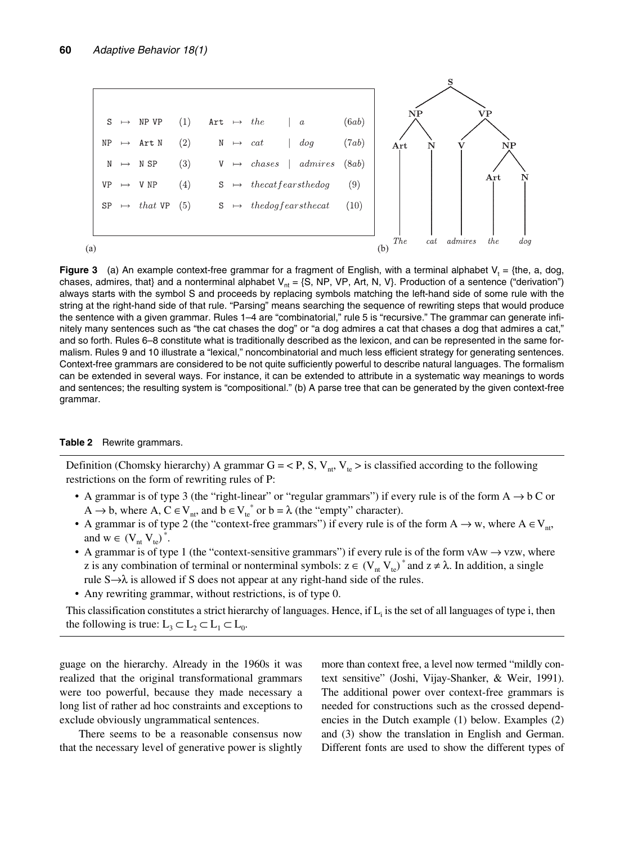

**Figure 3** (a) An example context-free grammar for a fragment of English, with a terminal alphabet V<sub>t</sub> = {the, a, dog, chases, admires, that} and a nonterminal alphabet  $V_{nt} = \{S, NP, VP, Art, N, V\}$ . Production of a sentence ("derivation") always starts with the symbol S and proceeds by replacing symbols matching the left-hand side of some rule with the string at the right-hand side of that rule. "Parsing" means searching the sequence of rewriting steps that would produce the sentence with a given grammar. Rules 1–4 are "combinatorial," rule 5 is "recursive." The grammar can generate infinitely many sentences such as "the cat chases the dog" or "a dog admires a cat that chases a dog that admires a cat," and so forth. Rules 6–8 constitute what is traditionally described as the lexicon, and can be represented in the same formalism. Rules 9 and 10 illustrate a "lexical," noncombinatorial and much less efficient strategy for generating sentences. Context-free grammars are considered to be not quite sufficiently powerful to describe natural languages. The formalism can be extended in several ways. For instance, it can be extended to attribute in a systematic way meanings to words and sentences; the resulting system is "compositional." (b) A parse tree that can be generated by the given context-free grammar.

#### **Table 2** Rewrite grammars.

Definition (Chomsky hierarchy) A grammar  $G = \langle P, S, V_{n}, V_{te} \rangle$  is classified according to the following restrictions on the form of rewriting rules of P:

- A grammar is of type 3 (the "right-linear" or "regular grammars") if every rule is of the form  $A \rightarrow b C$  or  $A \rightarrow b$ , where  $A, C \in V_{nt}$ , and  $b \in V_{te}^*$  or  $b = \lambda$  (the "empty" character).
- A grammar is of type 2 (the "context-free grammars") if every rule is of the form A  $\rightarrow$  w, where A  $\in V_{nt}$ , and  $w \in (V_{nt} V_{te})^*$ .
- A grammar is of type 1 (the "context-sensitive grammars") if every rule is of the form vAw  $\rightarrow$  vzw, where z is any combination of terminal or nonterminal symbols:  $z \in (V_{nt} V_{te})^*$  and  $z \neq \lambda$ . In addition, a single rule  $S \rightarrow \lambda$  is allowed if S does not appear at any right-hand side of the rules.
- Any rewriting grammar, without restrictions, is of type 0.

This classification constitutes a strict hierarchy of languages. Hence, if  $L_i$  is the set of all languages of type i, then the following is true:  $L_3 \subset L_2 \subset L_1 \subset L_0$ .

guage on the hierarchy. Already in the 1960s it was realized that the original transformational grammars were too powerful, because they made necessary a long list of rather ad hoc constraints and exceptions to exclude obviously ungrammatical sentences.

There seems to be a reasonable consensus now that the necessary level of generative power is slightly more than context free, a level now termed "mildly context sensitive" (Joshi, Vijay-Shanker, & Weir, 1991). The additional power over context-free grammars is needed for constructions such as the crossed dependencies in the Dutch example (1) below. Examples (2) and (3) show the translation in English and German. Different fonts are used to show the different types of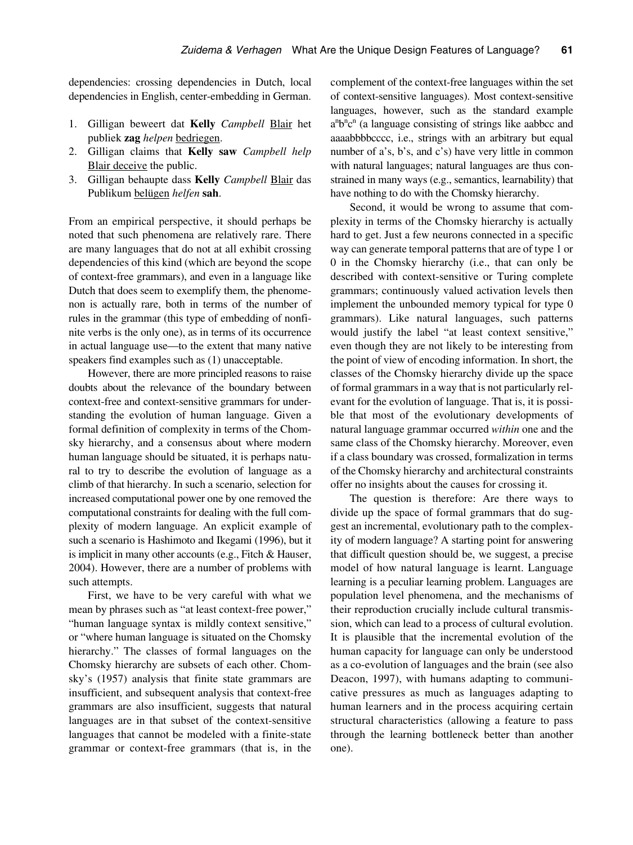dependencies: crossing dependencies in Dutch, local dependencies in English, center-embedding in German.

- 1. Gilligan beweert dat **Kelly** *Campbell* Blair het publiek **zag** *helpen* bedriegen.
- 2. Gilligan claims that **Kelly saw** *Campbell help* Blair deceive the public.
- 3. Gilligan behaupte dass **Kelly** *Campbell* Blair das Publikum belügen *helfen* **sah**.

From an empirical perspective, it should perhaps be noted that such phenomena are relatively rare. There are many languages that do not at all exhibit crossing dependencies of this kind (which are beyond the scope of context-free grammars), and even in a language like Dutch that does seem to exemplify them, the phenomenon is actually rare, both in terms of the number of rules in the grammar (this type of embedding of nonfinite verbs is the only one), as in terms of its occurrence in actual language use—to the extent that many native speakers find examples such as (1) unacceptable.

However, there are more principled reasons to raise doubts about the relevance of the boundary between context-free and context-sensitive grammars for understanding the evolution of human language. Given a formal definition of complexity in terms of the Chomsky hierarchy, and a consensus about where modern human language should be situated, it is perhaps natural to try to describe the evolution of language as a climb of that hierarchy. In such a scenario, selection for increased computational power one by one removed the computational constraints for dealing with the full complexity of modern language. An explicit example of such a scenario is Hashimoto and Ikegami (1996), but it is implicit in many other accounts (e.g., Fitch & Hauser, 2004). However, there are a number of problems with such attempts.

First, we have to be very careful with what we mean by phrases such as "at least context-free power," "human language syntax is mildly context sensitive," or "where human language is situated on the Chomsky hierarchy." The classes of formal languages on the Chomsky hierarchy are subsets of each other. Chomsky's (1957) analysis that finite state grammars are insufficient, and subsequent analysis that context-free grammars are also insufficient, suggests that natural languages are in that subset of the context-sensitive languages that cannot be modeled with a finite-state grammar or context-free grammars (that is, in the complement of the context-free languages within the set of context-sensitive languages). Most context-sensitive languages, however, such as the standard example a<sup>n</sup>b<sup>n</sup>c<sup>n</sup> (a language consisting of strings like aabbcc and aaaabbbbcccc, i.e., strings with an arbitrary but equal number of a's, b's, and c's) have very little in common with natural languages; natural languages are thus constrained in many ways (e.g., semantics, learnability) that have nothing to do with the Chomsky hierarchy.

Second, it would be wrong to assume that complexity in terms of the Chomsky hierarchy is actually hard to get. Just a few neurons connected in a specific way can generate temporal patterns that are of type 1 or 0 in the Chomsky hierarchy (i.e., that can only be described with context-sensitive or Turing complete grammars; continuously valued activation levels then implement the unbounded memory typical for type 0 grammars). Like natural languages, such patterns would justify the label "at least context sensitive," even though they are not likely to be interesting from the point of view of encoding information. In short, the classes of the Chomsky hierarchy divide up the space of formal grammars in a way that is not particularly relevant for the evolution of language. That is, it is possible that most of the evolutionary developments of natural language grammar occurred *within* one and the same class of the Chomsky hierarchy. Moreover, even if a class boundary was crossed, formalization in terms of the Chomsky hierarchy and architectural constraints offer no insights about the causes for crossing it.

The question is therefore: Are there ways to divide up the space of formal grammars that do suggest an incremental, evolutionary path to the complexity of modern language? A starting point for answering that difficult question should be, we suggest, a precise model of how natural language is learnt. Language learning is a peculiar learning problem. Languages are population level phenomena, and the mechanisms of their reproduction crucially include cultural transmission, which can lead to a process of cultural evolution. It is plausible that the incremental evolution of the human capacity for language can only be understood as a co-evolution of languages and the brain (see also Deacon, 1997), with humans adapting to communicative pressures as much as languages adapting to human learners and in the process acquiring certain structural characteristics (allowing a feature to pass through the learning bottleneck better than another one).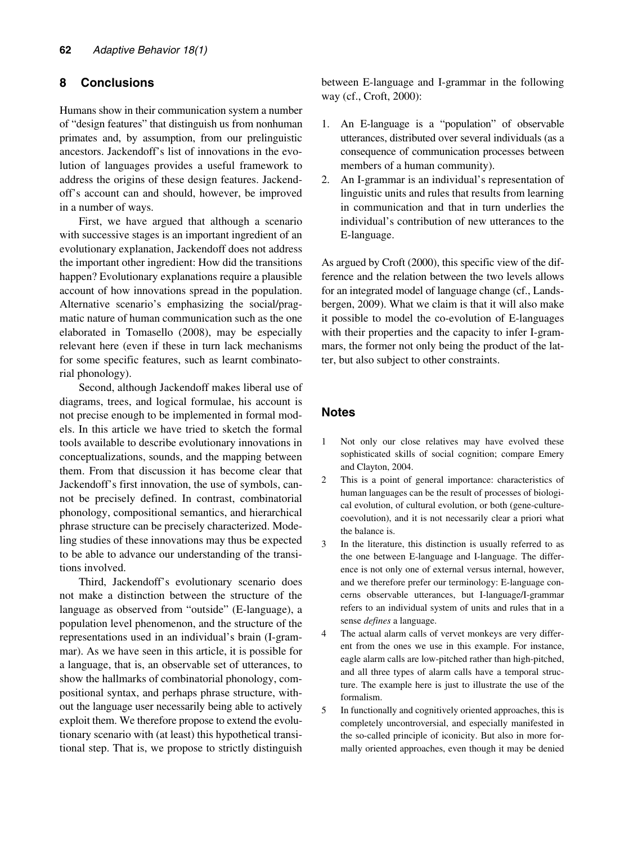# **8 Conclusions**

Humans show in their communication system a number of "design features" that distinguish us from nonhuman primates and, by assumption, from our prelinguistic ancestors. Jackendoff's list of innovations in the evolution of languages provides a useful framework to address the origins of these design features. Jackendoff's account can and should, however, be improved in a number of ways.

First, we have argued that although a scenario with successive stages is an important ingredient of an evolutionary explanation, Jackendoff does not address the important other ingredient: How did the transitions happen? Evolutionary explanations require a plausible account of how innovations spread in the population. Alternative scenario's emphasizing the social/pragmatic nature of human communication such as the one elaborated in Tomasello (2008), may be especially relevant here (even if these in turn lack mechanisms for some specific features, such as learnt combinatorial phonology).

Second, although Jackendoff makes liberal use of diagrams, trees, and logical formulae, his account is not precise enough to be implemented in formal models. In this article we have tried to sketch the formal tools available to describe evolutionary innovations in conceptualizations, sounds, and the mapping between them. From that discussion it has become clear that Jackendoff's first innovation, the use of symbols, cannot be precisely defined. In contrast, combinatorial phonology, compositional semantics, and hierarchical phrase structure can be precisely characterized. Modeling studies of these innovations may thus be expected to be able to advance our understanding of the transitions involved.

Third, Jackendoff's evolutionary scenario does not make a distinction between the structure of the language as observed from "outside" (E-language), a population level phenomenon, and the structure of the representations used in an individual's brain (I-grammar). As we have seen in this article, it is possible for a language, that is, an observable set of utterances, to show the hallmarks of combinatorial phonology, compositional syntax, and perhaps phrase structure, without the language user necessarily being able to actively exploit them. We therefore propose to extend the evolutionary scenario with (at least) this hypothetical transitional step. That is, we propose to strictly distinguish between E-language and I-grammar in the following way (cf., Croft, 2000):

- 1. An E-language is a "population" of observable utterances, distributed over several individuals (as a consequence of communication processes between members of a human community).
- 2. An I-grammar is an individual's representation of linguistic units and rules that results from learning in communication and that in turn underlies the individual's contribution of new utterances to the E-language.

As argued by Croft (2000), this specific view of the difference and the relation between the two levels allows for an integrated model of language change (cf., Landsbergen, 2009). What we claim is that it will also make it possible to model the co-evolution of E-languages with their properties and the capacity to infer I-grammars, the former not only being the product of the latter, but also subject to other constraints.

## **Notes**

- 1 Not only our close relatives may have evolved these sophisticated skills of social cognition; compare Emery and Clayton, 2004.
- 2 This is a point of general importance: characteristics of human languages can be the result of processes of biological evolution, of cultural evolution, or both (gene-culturecoevolution), and it is not necessarily clear a priori what the balance is.
- 3 In the literature, this distinction is usually referred to as the one between E-language and I-language. The difference is not only one of external versus internal, however, and we therefore prefer our terminology: E-language concerns observable utterances, but I-language/I-grammar refers to an individual system of units and rules that in a sense *defines* a language.
- 4 The actual alarm calls of vervet monkeys are very different from the ones we use in this example. For instance, eagle alarm calls are low-pitched rather than high-pitched, and all three types of alarm calls have a temporal structure. The example here is just to illustrate the use of the formalism.
- 5 In functionally and cognitively oriented approaches, this is completely uncontroversial, and especially manifested in the so-called principle of iconicity. But also in more formally oriented approaches, even though it may be denied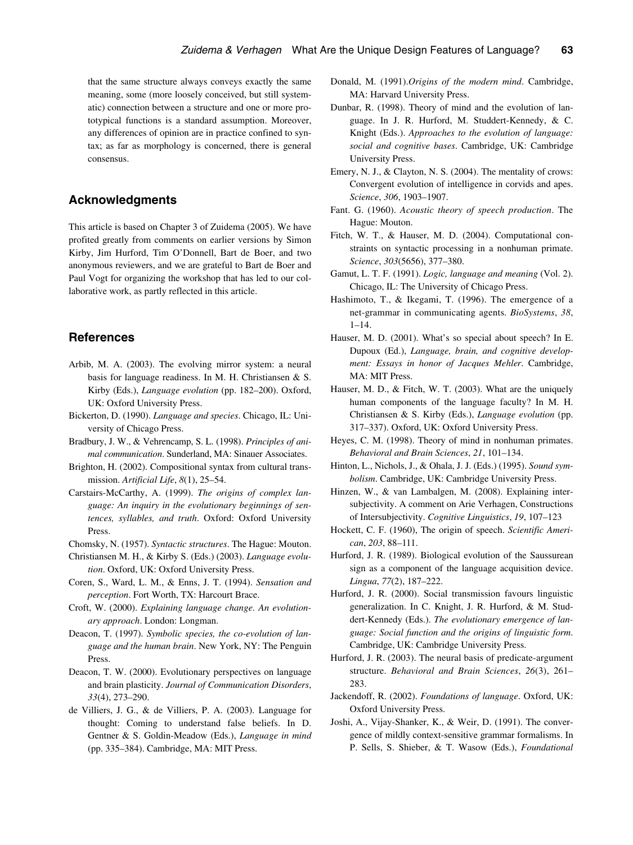that the same structure always conveys exactly the same meaning, some (more loosely conceived, but still systematic) connection between a structure and one or more prototypical functions is a standard assumption. Moreover, any differences of opinion are in practice confined to syntax; as far as morphology is concerned, there is general consensus.

#### **Acknowledgments**

This article is based on Chapter 3 of Zuidema (2005). We have profited greatly from comments on earlier versions by Simon Kirby, Jim Hurford, Tim O'Donnell, Bart de Boer, and two anonymous reviewers, and we are grateful to Bart de Boer and Paul Vogt for organizing the workshop that has led to our collaborative work, as partly reflected in this article.

## **References**

- Arbib, M. A. (2003). The evolving mirror system: a neural basis for language readiness. In M. H. Christiansen & S. Kirby (Eds.), *Language evolution* (pp. 182–200). Oxford, UK: Oxford University Press.
- Bickerton, D. (1990). *Language and species*. Chicago, IL: University of Chicago Press.
- Bradbury, J. W., & Vehrencamp, S. L. (1998). *Principles of animal communication*. Sunderland, MA: Sinauer Associates.
- Brighton, H. (2002). Compositional syntax from cultural transmission. *Artificial Life*, *8*(1), 25–54.
- Carstairs-McCarthy, A. (1999). *The origins of complex language: An inquiry in the evolutionary beginnings of sentences, syllables, and truth*. Oxford: Oxford University Press.
- Chomsky, N. (1957). *Syntactic structures*. The Hague: Mouton.
- Christiansen M. H., & Kirby S. (Eds.) (2003). *Language evolution*. Oxford, UK: Oxford University Press.
- Coren, S., Ward, L. M., & Enns, J. T. (1994). *Sensation and perception*. Fort Worth, TX: Harcourt Brace.
- Croft, W. (2000). *Explaining language change. An evolutionary approach*. London: Longman.
- Deacon, T. (1997). *Symbolic species, the co-evolution of language and the human brain*. New York, NY: The Penguin Press.
- Deacon, T. W. (2000). Evolutionary perspectives on language and brain plasticity. *Journal of Communication Disorders*, *33*(4), 273–290.
- de Villiers, J. G., & de Villiers, P. A. (2003). Language for thought: Coming to understand false beliefs. In D. Gentner & S. Goldin-Meadow (Eds.), *Language in mind* (pp. 335–384). Cambridge, MA: MIT Press.
- Donald, M. (1991).*Origins of the modern mind*. Cambridge, MA: Harvard University Press.
- Dunbar, R. (1998). Theory of mind and the evolution of language. In J. R. Hurford, M. Studdert-Kennedy, & C. Knight (Eds.). *Approaches to the evolution of language: social and cognitive bases*. Cambridge, UK: Cambridge University Press.
- Emery, N. J., & Clayton, N. S. (2004). The mentality of crows: Convergent evolution of intelligence in corvids and apes. *Science*, *306*, 1903–1907.
- Fant. G. (1960). *Acoustic theory of speech production*. The Hague: Mouton.
- Fitch, W. T., & Hauser, M. D. (2004). Computational constraints on syntactic processing in a nonhuman primate. *Science*, *303*(5656), 377–380.
- Gamut, L. T. F. (1991). *Logic, language and meaning* (Vol. 2). Chicago, IL: The University of Chicago Press.
- Hashimoto, T., & Ikegami, T. (1996). The emergence of a net-grammar in communicating agents. *BioSystems*, *38*, 1–14.
- Hauser, M. D. (2001). What's so special about speech? In E. Dupoux (Ed.), *Language, brain, and cognitive development: Essays in honor of Jacques Mehler*. Cambridge, MA: MIT Press.
- Hauser, M. D., & Fitch, W. T. (2003). What are the uniquely human components of the language faculty? In M. H. Christiansen & S. Kirby (Eds.), *Language evolution* (pp. 317–337). Oxford, UK: Oxford University Press.
- Heyes, C. M. (1998). Theory of mind in nonhuman primates. *Behavioral and Brain Sciences*, *21*, 101–134.
- Hinton, L., Nichols, J., & Ohala, J. J. (Eds.) (1995). *Sound symbolism*. Cambridge, UK: Cambridge University Press.
- Hinzen, W., & van Lambalgen, M. (2008). Explaining intersubjectivity. A comment on Arie Verhagen, Constructions of Intersubjectivity. *Cognitive Linguistics*, *19*, 107–123
- Hockett, C. F. (1960), The origin of speech. *Scientific American*, *203*, 88–111.
- Hurford, J. R. (1989). Biological evolution of the Saussurean sign as a component of the language acquisition device. *Lingua*, *77*(2), 187–222.
- Hurford, J. R. (2000). Social transmission favours linguistic generalization. In C. Knight, J. R. Hurford, & M. Studdert-Kennedy (Eds.). *The evolutionary emergence of language: Social function and the origins of linguistic form*. Cambridge, UK: Cambridge University Press.
- Hurford, J. R. (2003). The neural basis of predicate-argument structure. *Behavioral and Brain Sciences*, *26*(3), 261– 283.
- Jackendoff, R. (2002). *Foundations of language*. Oxford, UK: Oxford University Press.
- Joshi, A., Vijay-Shanker, K., & Weir, D. (1991). The convergence of mildly context-sensitive grammar formalisms. In P. Sells, S. Shieber, & T. Wasow (Eds.), *Foundational*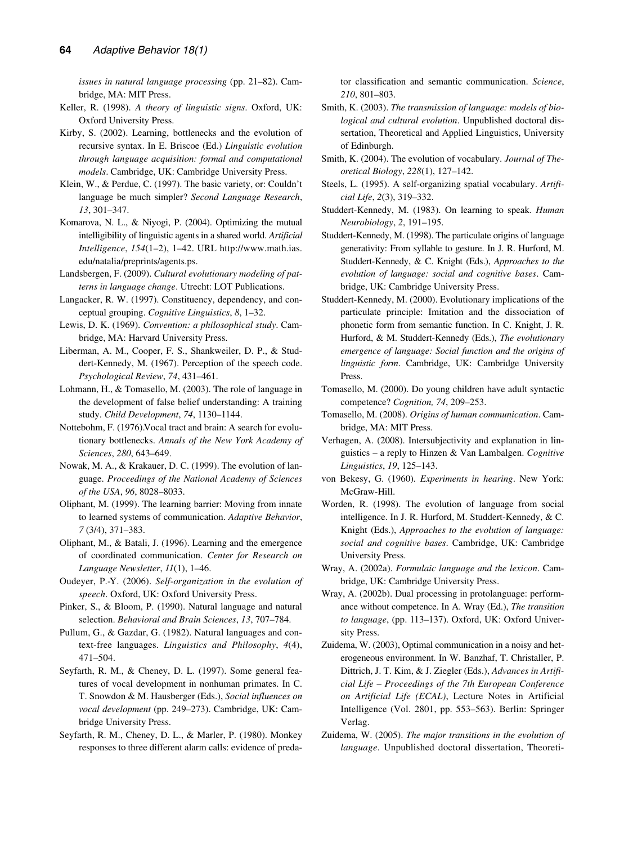*issues in natural language processing* (pp. 21–82). Cambridge, MA: MIT Press.

- Keller, R. (1998). *A theory of linguistic signs*. Oxford, UK: Oxford University Press.
- Kirby, S. (2002). Learning, bottlenecks and the evolution of recursive syntax. In E. Briscoe (Ed.) *Linguistic evolution through language acquisition: formal and computational models*. Cambridge, UK: Cambridge University Press.
- Klein, W., & Perdue, C. (1997). The basic variety, or: Couldn't language be much simpler? *Second Language Research*, *13*, 301–347.
- Komarova, N. L., & Niyogi, P. (2004). Optimizing the mutual intelligibility of linguistic agents in a shared world. *Artificial Intelligence*, *154*(1–2), 1–42. URL http://www.math.ias. edu/natalia/preprints/agents.ps.
- Landsbergen, F. (2009). *Cultural evolutionary modeling of patterns in language change*. Utrecht: LOT Publications.
- Langacker, R. W. (1997). Constituency, dependency, and conceptual grouping. *Cognitive Linguistics*, *8*, 1–32.
- Lewis, D. K. (1969). *Convention: a philosophical study*. Cambridge, MA: Harvard University Press.
- Liberman, A. M., Cooper, F. S., Shankweiler, D. P., & Studdert-Kennedy, M. (1967). Perception of the speech code. *Psychological Review*, *74*, 431–461.
- Lohmann, H., & Tomasello, M. (2003). The role of language in the development of false belief understanding: A training study. *Child Development*, *74*, 1130–1144.
- Nottebohm, F. (1976).Vocal tract and brain: A search for evolutionary bottlenecks. *Annals of the New York Academy of Sciences*, *280*, 643–649.
- Nowak, M. A., & Krakauer, D. C. (1999). The evolution of language. *Proceedings of the National Academy of Sciences of the USA*, *96*, 8028–8033.
- Oliphant, M. (1999). The learning barrier: Moving from innate to learned systems of communication. *Adaptive Behavior*, *7* (3/4), 371–383.
- Oliphant, M., & Batali, J. (1996). Learning and the emergence of coordinated communication. *Center for Research on Language Newsletter*, *11*(1), 1–46.
- Oudeyer, P.-Y. (2006). *Self-organization in the evolution of speech*. Oxford, UK: Oxford University Press.
- Pinker, S., & Bloom, P. (1990). Natural language and natural selection. *Behavioral and Brain Sciences*, *13*, 707–784.
- Pullum, G., & Gazdar, G. (1982). Natural languages and context-free languages. *Linguistics and Philosophy*, *4*(4), 471–504.
- Seyfarth, R. M., & Cheney, D. L. (1997). Some general features of vocal development in nonhuman primates. In C. T. Snowdon & M. Hausberger (Eds.), *Social influences on vocal development* (pp. 249–273). Cambridge, UK: Cambridge University Press.
- Seyfarth, R. M., Cheney, D. L., & Marler, P. (1980). Monkey responses to three different alarm calls: evidence of preda-

tor classification and semantic communication. *Science*, *210*, 801–803.

- Smith, K. (2003). *The transmission of language: models of biological and cultural evolution*. Unpublished doctoral dissertation, Theoretical and Applied Linguistics, University of Edinburgh.
- Smith, K. (2004). The evolution of vocabulary. *Journal of Theoretical Biology*, *228*(1), 127–142.
- Steels, L. (1995). A self-organizing spatial vocabulary. *Artificial Life*, *2*(3), 319–332.
- Studdert-Kennedy, M. (1983). On learning to speak. *Human Neurobiology*, *2*, 191–195.
- Studdert-Kennedy, M. (1998). The particulate origins of language generativity: From syllable to gesture. In J. R. Hurford, M. Studdert-Kennedy, & C. Knight (Eds.), *Approaches to the evolution of language: social and cognitive bases*. Cambridge, UK: Cambridge University Press.
- Studdert-Kennedy, M. (2000). Evolutionary implications of the particulate principle: Imitation and the dissociation of phonetic form from semantic function. In C. Knight, J. R. Hurford, & M. Studdert-Kennedy (Eds.), *The evolutionary emergence of language: Social function and the origins of linguistic form*. Cambridge, UK: Cambridge University Press.
- Tomasello, M. (2000). Do young children have adult syntactic competence? *Cognition, 74*, 209–253.
- Tomasello, M. (2008). *Origins of human communication*. Cambridge, MA: MIT Press.
- Verhagen, A. (2008). Intersubjectivity and explanation in linguistics – a reply to Hinzen & Van Lambalgen. *Cognitive Linguistics*, *19*, 125–143.
- von Bekesy, G. (1960). *Experiments in hearing*. New York: McGraw-Hill.
- Worden, R. (1998). The evolution of language from social intelligence. In J. R. Hurford, M. Studdert-Kennedy, & C. Knight (Eds.), *Approaches to the evolution of language: social and cognitive bases*. Cambridge, UK: Cambridge University Press.
- Wray, A. (2002a). *Formulaic language and the lexicon*. Cambridge, UK: Cambridge University Press.
- Wray, A. (2002b). Dual processing in protolanguage: performance without competence. In A. Wray (Ed.), *The transition to language*, (pp. 113–137). Oxford, UK: Oxford University Press.
- Zuidema, W. (2003), Optimal communication in a noisy and heterogeneous environment. In W. Banzhaf, T. Christaller, P. Dittrich, J. T. Kim, & J. Ziegler (Eds.), *Advances in Artificial Life – Proceedings of the 7th European Conference on Artificial Life (ECAL)*, Lecture Notes in Artificial Intelligence (Vol. 2801, pp. 553–563). Berlin: Springer Verlag.
- Zuidema, W. (2005). *The major transitions in the evolution of language*. Unpublished doctoral dissertation, Theoreti-